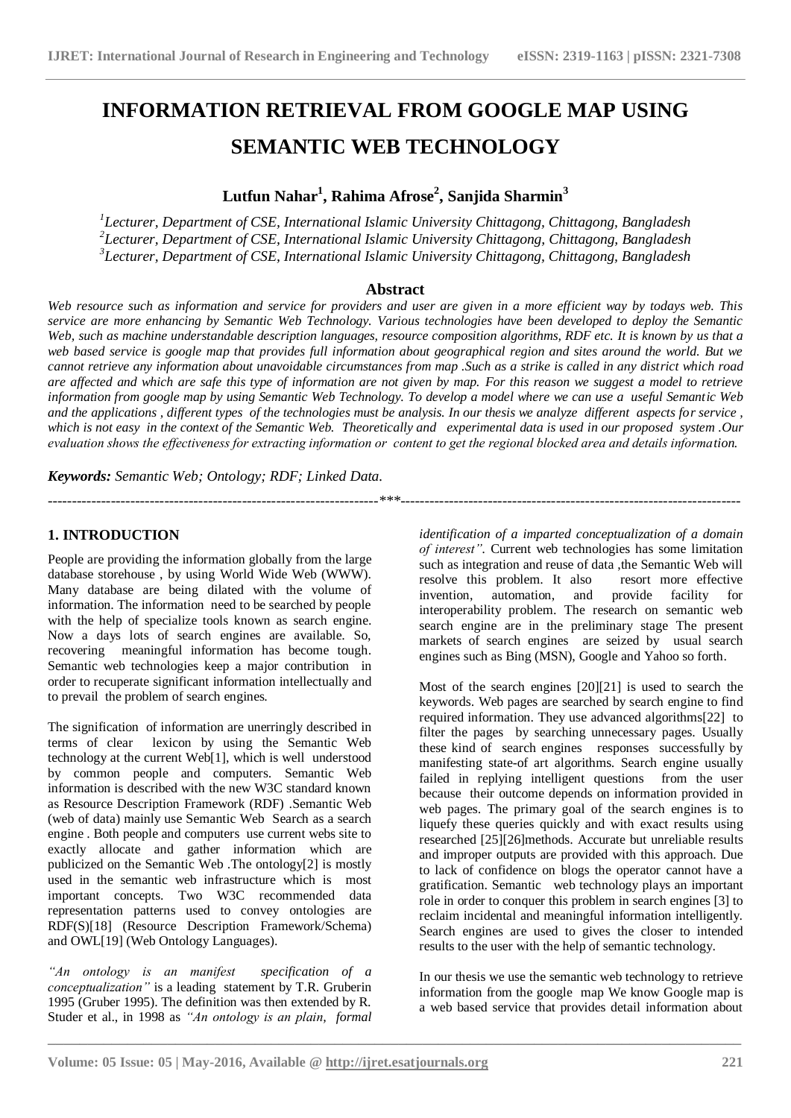# **INFORMATION RETRIEVAL FROM GOOGLE MAP USING SEMANTIC WEB TECHNOLOGY**

# **Lutfun Nahar<sup>1</sup> , Rahima Afrose<sup>2</sup> , Sanjida Sharmin<sup>3</sup>**

*1 Lecturer, Department of CSE, International Islamic University Chittagong, Chittagong, Bangladesh 2 Lecturer, Department of CSE, International Islamic University Chittagong, Chittagong, Bangladesh 3 Lecturer, Department of CSE, International Islamic University Chittagong, Chittagong, Bangladesh*

#### **Abstract**

*Web resource such as information and service for providers and user are given in a more efficient way by todays web. This service are more enhancing by Semantic Web Technology. Various technologies have been developed to deploy the Semantic Web, such as machine understandable description languages, resource composition algorithms, RDF etc. It is known by us that a web based service is google map that provides full information about geographical region and sites around the world. But we cannot retrieve any information about unavoidable circumstances from map .Such as a strike is called in any district which road are affected and which are safe this type of information are not given by map. For this reason we suggest a model to retrieve information from google map by using Semantic Web Technology. To develop a model where we can use a useful Semantic Web and the applications , different types of the technologies must be analysis. In our thesis we analyze different aspects for service ,*  which is not easy in the context of the Semantic Web. Theoretically and experimental data is used in our proposed system .Our *evaluation shows the effectiveness for extracting information or content to get the regional blocked area and details information.*

*--------------------------------------------------------------------\*\*\*----------------------------------------------------------------------*

*Keywords: Semantic Web; Ontology; RDF; Linked Data.*

### **1. INTRODUCTION**

People are providing the information globally from the large database storehouse , by using World Wide Web (WWW). Many database are being dilated with the volume of information. The information need to be searched by people with the help of specialize tools known as search engine. Now a days lots of search engines are available. So, recovering meaningful information has become tough. Semantic web technologies keep a major contribution in order to recuperate significant information intellectually and to prevail the problem of search engines.

The signification of information are unerringly described in terms of clear lexicon by using the Semantic Web technology at the current Web[1], which is well understood by common people and computers. Semantic Web information is described with the new W3C standard known as Resource Description Framework (RDF) .Semantic Web (web of data) mainly use Semantic Web Search as a search engine . Both people and computers use current webs site to exactly allocate and gather information which are publicized on the Semantic Web .The ontology[2] is mostly used in the semantic web infrastructure which is most important concepts. Two W3C recommended data representation patterns used to convey ontologies are RDF(S)[18] (Resource Description Framework/Schema) and OWL[19] (Web Ontology Languages).

*"An ontology is an manifest specification of a conceptualization*" is a leading statement by T.R. Gruberin 1995 (Gruber 1995). The definition was then extended by R. Studer et al., in 1998 as *"An ontology is an plain, formal*  *identification of a imparted conceptualization of a domain of interest".* Current web technologies has some limitation such as integration and reuse of data , the Semantic Web will resolve this problem. It also resort more effective invention, automation, and provide facility for interoperability problem. The research on semantic web search engine are in the preliminary stage The present markets of search engines are seized by usual search engines such as Bing (MSN), Google and Yahoo so forth.

Most of the search engines [20][21] is used to search the keywords. Web pages are searched by search engine to find required information. They use advanced algorithms[22] to filter the pages by searching unnecessary pages. Usually these kind of search engines responses successfully by manifesting state-of art algorithms. Search engine usually failed in replying intelligent questions from the user because their outcome depends on information provided in web pages. The primary goal of the search engines is to liquefy these queries quickly and with exact results using researched [25][26]methods. Accurate but unreliable results and improper outputs are provided with this approach. Due to lack of confidence on blogs the operator cannot have a gratification. Semantic web technology plays an important role in order to conquer this problem in search engines [3] to reclaim incidental and meaningful information intelligently. Search engines are used to gives the closer to intended results to the user with the help of semantic technology.

In our thesis we use the semantic web technology to retrieve information from the google map We know Google map is a web based service that provides detail information about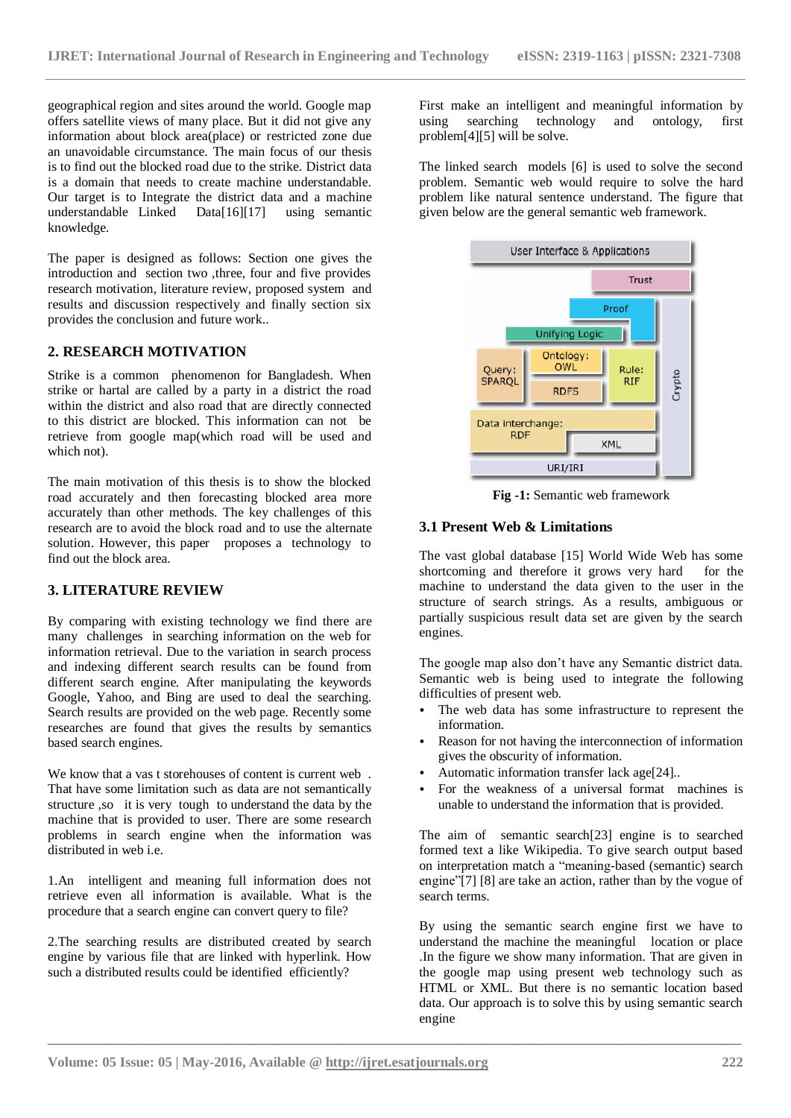geographical region and sites around the world. Google map offers satellite views of many place. But it did not give any information about block area(place) or restricted zone due an unavoidable circumstance. The main focus of our thesis is to find out the blocked road due to the strike. District data is a domain that needs to create machine understandable. Our target is to Integrate the district data and a machine understandable Linked Data[16][17] using semantic knowledge.

The paper is designed as follows: Section one gives the introduction and section two ,three, four and five provides research motivation, literature review, proposed system and results and discussion respectively and finally section six provides the conclusion and future work..

#### **2. RESEARCH MOTIVATION**

Strike is a common phenomenon for Bangladesh. When strike or hartal are called by a party in a district the road within the district and also road that are directly connected to this district are blocked. This information can not be retrieve from google map(which road will be used and which not).

The main motivation of this thesis is to show the blocked road accurately and then forecasting blocked area more accurately than other methods. The key challenges of this research are to avoid the block road and to use the alternate solution. However, this paper proposes a technology to find out the block area.

#### **3. LITERATURE REVIEW**

By comparing with existing technology we find there are many challenges in searching information on the web for information retrieval. Due to the variation in search process and indexing different search results can be found from different search engine. After manipulating the keywords Google, Yahoo, and Bing are used to deal the searching. Search results are provided on the web page. Recently some researches are found that gives the results by semantics based search engines.

We know that a vas t storehouses of content is current web . That have some limitation such as data are not semantically structure ,so it is very tough to understand the data by the machine that is provided to user. There are some research problems in search engine when the information was distributed in web i.e.

1.An intelligent and meaning full information does not retrieve even all information is available. What is the procedure that a search engine can convert query to file?

2.The searching results are distributed created by search engine by various file that are linked with hyperlink. How such a distributed results could be identified efficiently?

First make an intelligent and meaningful information by using searching technology and ontology, first problem[4][5] will be solve.

The linked search models [6] is used to solve the second problem. Semantic web would require to solve the hard problem like natural sentence understand. The figure that given below are the general semantic web framework.



**Fig -1:** Semantic web framework

#### **3.1 Present Web & Limitations**

The vast global database [15] World Wide Web has some shortcoming and therefore it grows very hard for the machine to understand the data given to the user in the structure of search strings. As a results, ambiguous or partially suspicious result data set are given by the search engines.

The google map also don"t have any Semantic district data. Semantic web is being used to integrate the following difficulties of present web.

- The web data has some infrastructure to represent the information.
- Reason for not having the interconnection of information gives the obscurity of information.
- Automatic information transfer lack age[24]..
- For the weakness of a universal format machines is unable to understand the information that is provided.

The aim of semantic search[23] engine is to searched formed text a like Wikipedia. To give search output based on interpretation match a "meaning-based (semantic) search engine"[7] [8] are take an action, rather than by the vogue of search terms.

By using the semantic search engine first we have to understand the machine the meaningful location or place .In the figure we show many information. That are given in the google map using present web technology such as HTML or XML. But there is no semantic location based data. Our approach is to solve this by using semantic search engine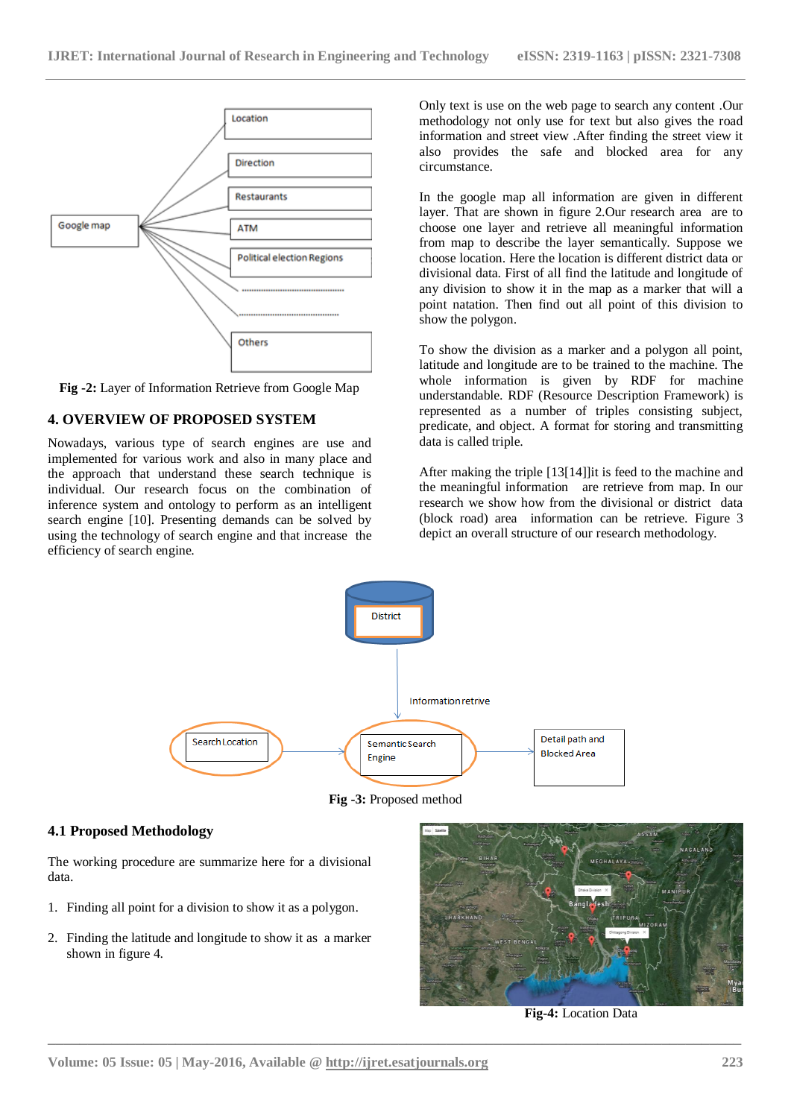

**Fig -2:** Layer of Information Retrieve from Google Map

#### **4. OVERVIEW OF PROPOSED SYSTEM**

Nowadays, various type of search engines are use and implemented for various work and also in many place and the approach that understand these search technique is individual. Our research focus on the combination of inference system and ontology to perform as an intelligent search engine [10]. Presenting demands can be solved by using the technology of search engine and that increase the efficiency of search engine.

Only text is use on the web page to search any content .Our methodology not only use for text but also gives the road information and street view .After finding the street view it also provides the safe and blocked area for any circumstance.

In the google map all information are given in different layer. That are shown in figure 2.Our research area are to choose one layer and retrieve all meaningful information from map to describe the layer semantically. Suppose we choose location. Here the location is different district data or divisional data. First of all find the latitude and longitude of any division to show it in the map as a marker that will a point natation. Then find out all point of this division to show the polygon.

To show the division as a marker and a polygon all point, latitude and longitude are to be trained to the machine. The whole information is given by RDF for machine understandable. RDF (Resource Description Framework) is represented as a number of triples consisting subject, predicate, and object. A format for storing and transmitting data is called triple.

After making the triple [13[14]]it is feed to the machine and the meaningful information are retrieve from map. In our research we show how from the divisional or district data (block road) area information can be retrieve. Figure 3 depict an overall structure of our research methodology.



**Fig -3:** Proposed method

**\_\_\_\_\_\_\_\_\_\_\_\_\_\_\_\_\_\_\_\_\_\_\_\_\_\_\_\_\_\_\_\_\_\_\_\_\_\_\_\_\_\_\_\_\_\_\_\_\_\_\_\_\_\_\_\_\_\_\_\_\_\_\_\_\_\_\_\_\_\_\_\_\_\_\_\_\_\_\_\_\_\_\_\_\_\_\_**

#### **4.1 Proposed Methodology**

The working procedure are summarize here for a divisional data.

- 1. Finding all point for a division to show it as a polygon.
- 2. Finding the latitude and longitude to show it as a marker shown in figure 4.



**Fig-4:** Location Data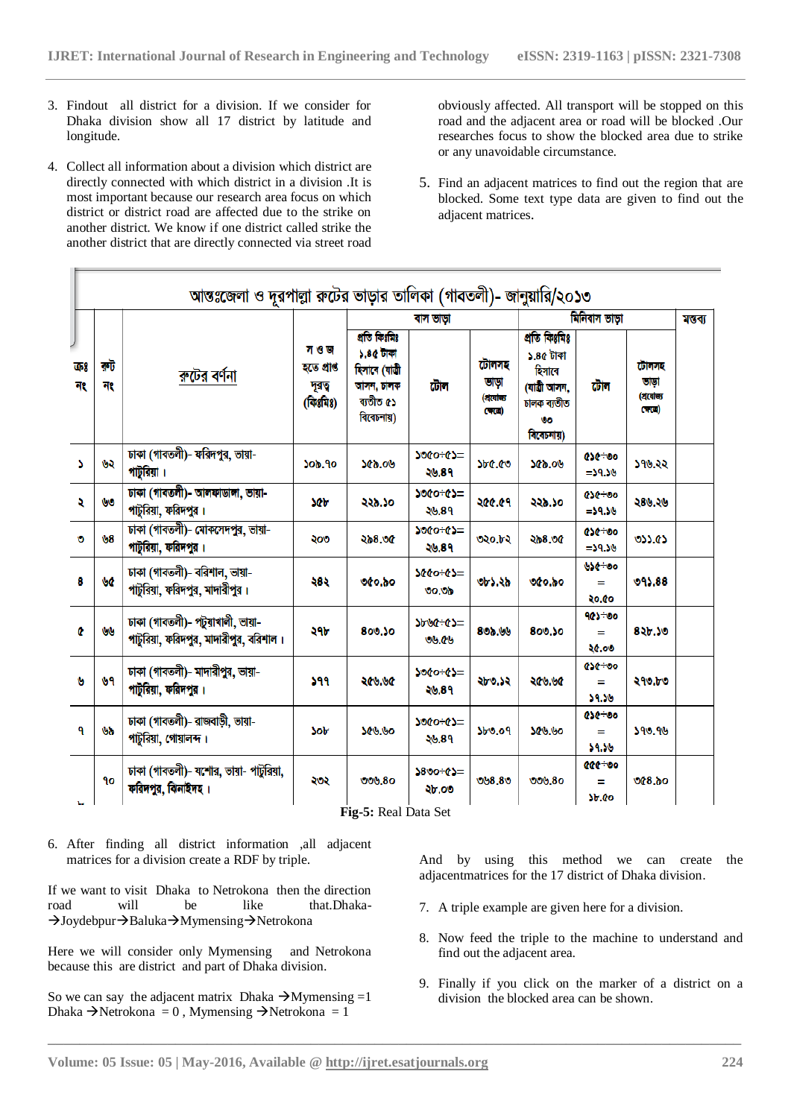- 3. Findout all district for a division. If we consider for Dhaka division show all 17 district by latitude and longitude.
- 4. Collect all information about a division which district are directly connected with which district in a division .It is most important because our research area focus on which district or district road are affected due to the strike on another district. We know if one district called strike the another district that are directly connected via street road

obviously affected. All transport will be stopped on this road and the adjacent area or road will be blocked .Our researches focus to show the blocked area due to strike or any unavoidable circumstance.

5. Find an adjacent matrices to find out the region that are blocked. Some text type data are given to find out the adjacent matrices.

|          |           | ৰুটের বর্ণনা                                                                | স ও জ<br>হতে প্ৰাণ্ড<br>দূৰত্<br>(কিঃমিঃ) | ৰাস ভাড়া                                                                           |                         |                                       | মিনিবাস ভাড়া                                                                          |                             |                                    | মণ্ডব্য |
|----------|-----------|-----------------------------------------------------------------------------|-------------------------------------------|-------------------------------------------------------------------------------------|-------------------------|---------------------------------------|----------------------------------------------------------------------------------------|-----------------------------|------------------------------------|---------|
| কঃ<br>নং | কট<br>নং  |                                                                             |                                           | প্ৰতি কিঃমিঃ<br>১.৪৫ টাকা<br>হিসাবে (যাত্ৰী<br>আসন, চালক<br>ব্যতীত ৫১<br>বিবেচনায়) | টোল                     | টোলসহ<br>তাড়া<br>(হাযোজ্য<br>$C$ (c) | প্ৰতি কিঃমিঃ<br>১.৪৫ টাকা<br>হিসাবে<br>(যাত্ৰী আসন,<br>চালক ব্যতীত<br>٧o<br>বিবেচনায়) | টোল                         | টোলসহ<br>তাভা<br>(প্ৰযোজ্য<br>(40) |         |
| N        | ৬২        | ঢাকা (গাবতলী)- ফরিদপুর, ভায়া-<br>পাটুরিয়া ।                               | <b>Sob.90</b>                             | 90.00                                                                               | <b>SOFOSOL</b><br>২৬.৪৭ | <b>SbC.CO</b>                         | 90.096                                                                                 | ese÷oo<br>$= 59.56$         | ১৭৬.২২                             |         |
| R        | <b>UO</b> | ঢাকা (গাবতলী)- আলফাডালা, ভায়া-<br>পাটুরিয়া, ফরিদপুর ।                     | ንው                                        | ২২৯.১০                                                                              | ১৩৫০÷৫১=<br>২৬.৪৭       | ২৫৫.৫৭                                | ২২৯.১০                                                                                 | 656÷00<br>$-59.56$          | ২৪৬.২৬                             |         |
| Ø        | ৬8        | ঢাকা (গাবতলী)- মোকসেদপুর, ভায়া-<br>পাটুরিয়া, ফরিদপুর ।                    | ২০৩                                       | ২৯৪.৩৫                                                                              | 3000+03=<br>২৬.৪৭       | ৩২০.৮২                                | ২৯৪.৩৫                                                                                 | ese÷oo<br>$= 59.56$         | 055.65                             |         |
| 8        | <b>VC</b> | ঢাকা (গাবতলী)- বরিশাল, ভায়া-<br>পাটুরিয়া, ফরিদপুর, মাদারীপুর।             | 585                                       | 060.00                                                                              | 3000+03=<br>00.06       | ৩৮১.২৯                                | 06.80                                                                                  | <b>USG+00</b><br>Ξ<br>২০.৫০ | 095,88                             |         |
| ¢        | w         | ঢাকা (গাবতলী)- পটুয়াখালী, ভায়া-<br>পাটুরিয়া, ফরিদপুর, মাদারীপুর, বরিশাল। | ২৭৮                                       | 800.50                                                                              | 3690+05=<br>99.09       | 800.09                                | 800.50                                                                                 | 905÷00<br>Ξ<br>২৫.০৩        | ৪২৮.১৩                             |         |
| Ŵ        | ৬৭        | ঢাকা (গাবতলী)- মাদারীপুর, ভায়া-<br>পাটুরিয়া, ফরিদপুর ।                    | ১৭৭                                       | ২৫৬.৬৫                                                                              | -43-0906<br>২৬.৪৭       | ২৮৩.১২                                | ২৫৬.৬৫                                                                                 | <b>454+00</b><br>Ξ<br>59.56 | ২৭৩.৮৩                             |         |
| 9        | სა        | ঢাকা (গাবতলী)- রাজবাড়ী, ভায়া-<br>পাটুরিয়া, গোয়ালন্দ।                    | <b>Sob</b>                                | 99.996                                                                              | 3000+03=<br>২৬.৪৭       | <b>Sb0.09</b>                         | <b>Sev.vo</b>                                                                          | 694.09<br>Ξ<br>১৭.১৬        | 390.96                             |         |
|          | ۹ο        | ঢাকা (গাবতলী)- যশোর, ভায়া- পাটুরিয়া,<br>ফরিদপুর, ঝিনাইদহ।                 | ২৩২                                       | 000.80                                                                              | $5800 + 65 =$<br>২৮.০৩  | 008.80                                | 000.80                                                                                 | eee÷oo<br>Ξ<br><b>Sb.Co</b> | 06.800                             |         |

**\_\_\_\_\_\_\_\_\_\_\_\_\_\_\_\_\_\_\_\_\_\_\_\_\_\_\_\_\_\_\_\_\_\_\_\_\_\_\_\_\_\_\_\_\_\_\_\_\_\_\_\_\_\_\_\_\_\_\_\_\_\_\_\_\_\_\_\_\_\_\_\_\_\_\_\_\_\_\_\_\_\_\_\_\_\_\_**

6. After finding all district information ,all adjacent matrices for a division create a RDF by triple.

If we want to visit Dhaka to Netrokona then the direction road will be like that.Dhaka-  $\rightarrow$ Joydebpur $\rightarrow$ Baluka $\rightarrow$ Mymensing $\rightarrow$ Netrokona

- Here we will consider only Mymensing and Netrokona because this are district and part of Dhaka division.
- So we can say the adjacent matrix Dhaka  $\rightarrow$ Mymensing =1 Dhaka  $\rightarrow$ Netrokona = 0, Mymensing  $\rightarrow$ Netrokona = 1

And by using this method we can create the adjacentmatrices for the 17 district of Dhaka division.

- 7. A triple example are given here for a division.
- 8. Now feed the triple to the machine to understand and find out the adjacent area.
- 9. Finally if you click on the marker of a district on a division the blocked area can be shown.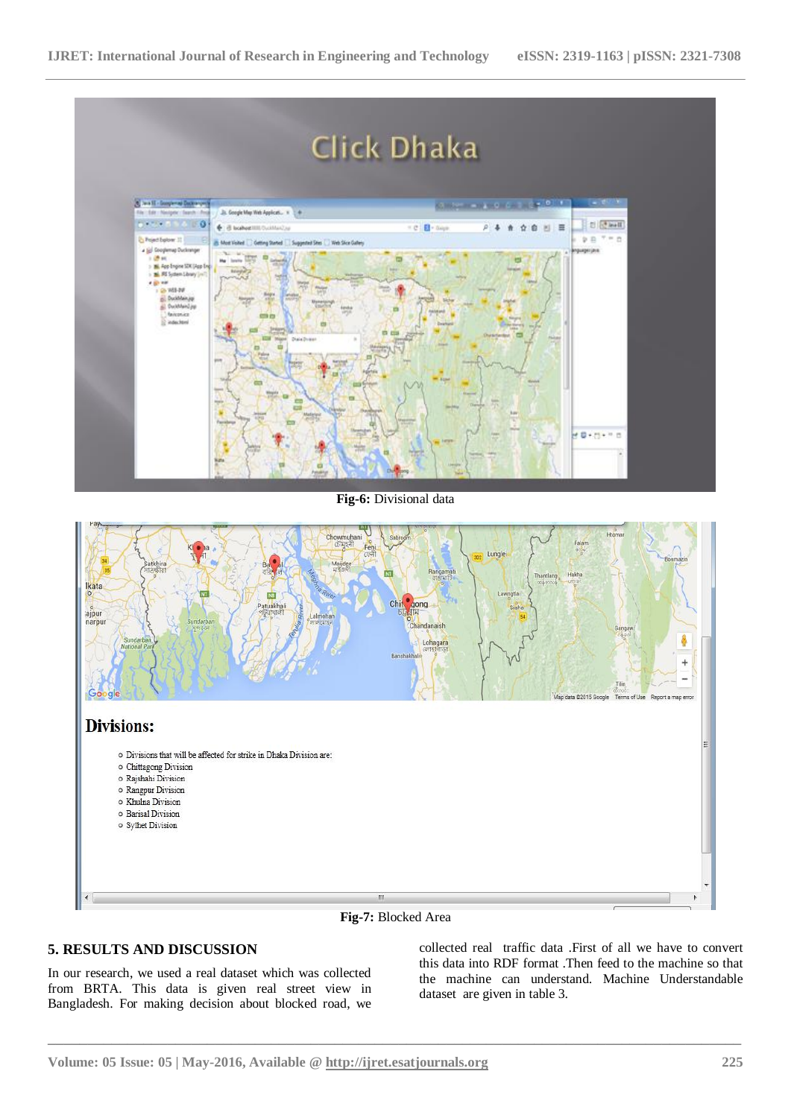

- o Barisal Division
- -
- o Sylhet Division
- 
- 
- 
- 



**\_\_\_\_\_\_\_\_\_\_\_\_\_\_\_\_\_\_\_\_\_\_\_\_\_\_\_\_\_\_\_\_\_\_\_\_\_\_\_\_\_\_\_\_\_\_\_\_\_\_\_\_\_\_\_\_\_\_\_\_\_\_\_\_\_\_\_\_\_\_\_\_\_\_\_\_\_\_\_\_\_\_\_\_\_\_\_**

#### **5. RESULTS AND DISCUSSION**

In our research, we used a real dataset which was collected from BRTA. This data is given real street view in Bangladesh. For making decision about blocked road, we collected real traffic data .First of all we have to convert this data into RDF format .Then feed to the machine so that the machine can understand. Machine Understandable dataset are given in table 3.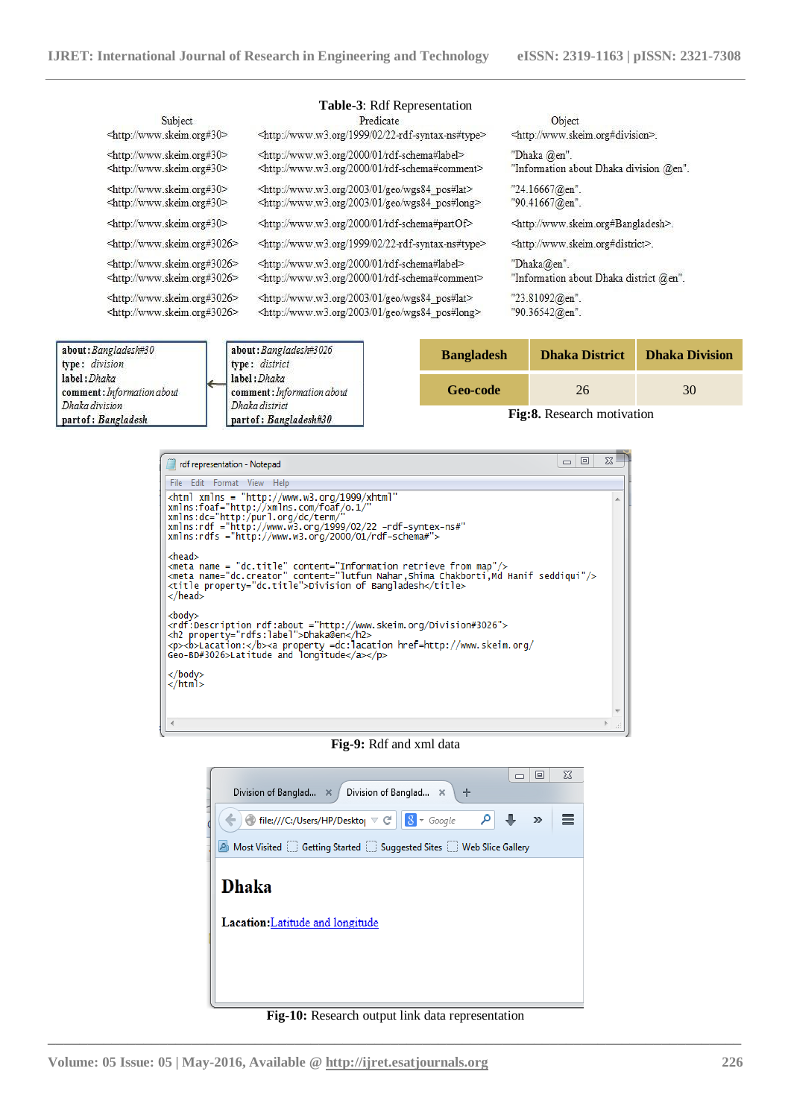Dhaka district

part of: Bangladesh#30

Dhaka division

part of : Bangladesh

|                                                                                 | Table-3: Rdf Representation                                                                                                                  |                   |                                                                                                                                                                                               |                       |  |  |
|---------------------------------------------------------------------------------|----------------------------------------------------------------------------------------------------------------------------------------------|-------------------|-----------------------------------------------------------------------------------------------------------------------------------------------------------------------------------------------|-----------------------|--|--|
| Subject<br><http: www.skeim.org#30=""></http:>                                  | Predicate<br><http: 02="" 1999="" 22-rdf-syntax-ns#type="" www.w3.org=""></http:>                                                            |                   | Object<br><http: www.skeim.org#division="">.</http:>                                                                                                                                          |                       |  |  |
| <http: www.skeim.org#30=""><br/><http: www.skeim.org#30=""></http:></http:>     | <http: 01="" 2000="" rdf-schema#label="" www.w3.org=""><br/><http: 01="" 2000="" rdf-schema#comment="" www.w3.org=""></http:></http:>        |                   | "Dhaka @en".<br>"Information about Dhaka division @en".                                                                                                                                       |                       |  |  |
| <http: www.skeim.org#30=""><br/><http: www.skeim.org#30=""></http:></http:>     | <http: 01="" 2003="" geo="" wgs84_pos#lat="" www.w3.org=""><br/><http: 01="" 2003="" geo="" wgs84_pos#long="" www.w3.org=""></http:></http:> |                   | "24.16667@en".<br>"90.41667@en".                                                                                                                                                              |                       |  |  |
| <http: www.skeim.org#30=""></http:>                                             | <http: 01="" 2000="" rdf-schema#partof="" www.w3.org=""></http:>                                                                             |                   | <http: www.skeim.org#bangladesh="">.<br/><http: www.skeim.org#district="">.<br/>"Dhaka@en".<br/>"Information about Dhaka district @en".<br/>"23.81092@en".<br/>"90.36542@en".</http:></http:> |                       |  |  |
| <http: www.skeim.org#3026=""></http:>                                           | <http: 02="" 1999="" 22-rdf-syntax-ns#type="" www.w3.org=""></http:>                                                                         |                   |                                                                                                                                                                                               |                       |  |  |
| <http: www.skeim.org#3026=""><br/><http: www.skeim.org#3026=""></http:></http:> | <http: 01="" 2000="" rdf-schema#label="" www.w3.org=""><br/><http: 01="" 2000="" rdf-schema#comment="" www.w3.org=""></http:></http:>        |                   |                                                                                                                                                                                               |                       |  |  |
| <http: www.skeim.org#3026=""><br/><http: www.skeim.org#3026=""></http:></http:> | <http: 01="" 2003="" geo="" wgs84_pos#lat="" www.w3.org=""><br/><http: 01="" 2003="" geo="" wgs84_pos#long="" www.w3.org=""></http:></http:> |                   |                                                                                                                                                                                               |                       |  |  |
| about: Bangladesh#30<br>type: division                                          | about: Bangladesh#3026<br>type: district                                                                                                     | <b>Bangladesh</b> | <b>Dhaka District</b>                                                                                                                                                                         | <b>Dhaka Division</b> |  |  |
| label: Dhaka<br>comment: Information about                                      | label: Dhaka<br>comment: Information about                                                                                                   | Geo-code          | 26                                                                                                                                                                                            | 30                    |  |  |

**Fig:8.** Research motivation

| $\Box$<br>$\qquad \qquad \Box$<br>rdf representation - Notepad                                                                                                                                                                                                                                | 53 |  |
|-----------------------------------------------------------------------------------------------------------------------------------------------------------------------------------------------------------------------------------------------------------------------------------------------|----|--|
| File Edit Format View Help                                                                                                                                                                                                                                                                    |    |  |
| <html <br="" xmlns="http://www.w3.org/1999/xhtml">xmlns:foaf="http://xmlns.com/foaf/o.1/"<br/>xmlns:dc="http:/purl.org/dc/term/"<br/>xmlns:rdf ="http://www.w3.org/1999/02/22 -rdf-syntex-ns#"<br/>xmlns:rdfs ="http://www.w3.org/2000/01/rdf-schema#"&gt;</html>                             |    |  |
| <head><br/><math>&lt;</math>meta name = "dc.title" content="Information retrieve from map"/&gt;<br/><meta content="lutfun Nahar,Shima Chakborti,Md Hanif seddiqui" name="dc.creator"/><br/><title property="dc.title">Division of Bangladesh</title><br/><math>\langle</math>/head&gt;</head> |    |  |
| $<$ body $>$<br><rdf:description rdf:about="http://www.skeim.org/Division#3026"><br/><h2 property="rdfs:label">Dhaka@en</h2><br/><p><b>Lacation:</b><a href="http://www.skeim.org/&lt;br" property="dc:lacation">Geo-BD#3026&gt;Latitude and longitude</a></p></rdf:description>              |    |  |
| $\langle$ bod $\vee$<br>$\langle$ /html>                                                                                                                                                                                                                                                      |    |  |
|                                                                                                                                                                                                                                                                                               |    |  |

#### **Fig-9:** Rdf and xml data



**\_\_\_\_\_\_\_\_\_\_\_\_\_\_\_\_\_\_\_\_\_\_\_\_\_\_\_\_\_\_\_\_\_\_\_\_\_\_\_\_\_\_\_\_\_\_\_\_\_\_\_\_\_\_\_\_\_\_\_\_\_\_\_\_\_\_\_\_\_\_\_\_\_\_\_\_\_\_\_\_\_\_\_\_\_\_\_ Fig-10:** Research output link data representation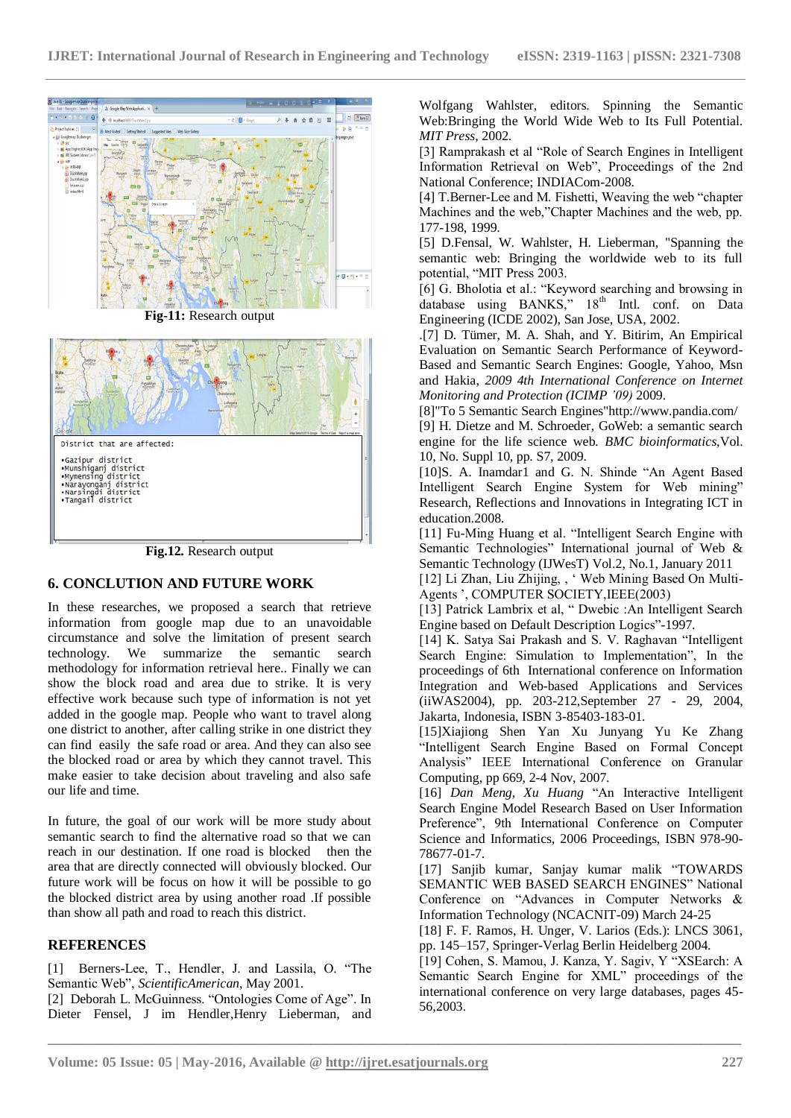



**Fig.12.** Research output

## **6. CONCLUTION AND FUTURE WORK**

In these researches, we proposed a search that retrieve information from google map due to an unavoidable circumstance and solve the limitation of present search technology. We summarize the semantic search methodology for information retrieval here.. Finally we can show the block road and area due to strike. It is very effective work because such type of information is not yet added in the google map. People who want to travel along one district to another, after calling strike in one district they can find easily the safe road or area. And they can also see the blocked road or area by which they cannot travel. This make easier to take decision about traveling and also safe our life and time.

In future, the goal of our work will be more study about semantic search to find the alternative road so that we can reach in our destination. If one road is blocked then the area that are directly connected will obviously blocked. Our future work will be focus on how it will be possible to go the blocked district area by using another road .If possible than show all path and road to reach this district.

#### **REFERENCES**

[1] Berners-Lee, T., Hendler, J. and Lassila, O. "The Semantic Web", *ScientificAmerican*, May 2001.

[2] Deborah L. McGuinness. "Ontologies Come of Age". In Dieter Fensel, J im Hendler,Henry Lieberman, and Wolfgang Wahlster, editors. Spinning the Semantic Web:Bringing the World Wide Web to Its Full Potential. *MIT Press*, 2002.

[3] Ramprakash et al "Role of Search Engines in Intelligent Information Retrieval on Web", Proceedings of the 2nd National Conference; INDIACom-2008.

[4] T.Berner-Lee and M. Fishetti, Weaving the web "chapter Machines and the web,"Chapter Machines and the web, pp. 177-198, 1999.

[5] D.Fensal, W. Wahlster, H. Lieberman, "Spanning the semantic web: Bringing the worldwide web to its full potential, "MIT Press 2003.

[6] G. Bholotia et al.: "Keyword searching and browsing in database using BANKS," 18<sup>th</sup> Intl. conf. on Data Engineering (ICDE 2002), San Jose, USA, 2002.

.[7] D. Tümer, M. A. Shah, and Y. Bitirim, An Empirical Evaluation on Semantic Search Performance of Keyword-Based and Semantic Search Engines: Google, Yahoo, Msn and Hakia, *2009 4th International Conference on Internet Monitoring and Protection (ICIMP '09)* 2009.

[8]"To 5 Semantic Search Engines"http://www.pandia.com/ [9] H. Dietze and M. Schroeder, GoWeb: a semantic search engine for the life science web*. BMC bioinformatics*,Vol. 10, No. Suppl 10, pp. S7, 2009.

[10]S. A. Inamdar1 and G. N. Shinde "An Agent Based Intelligent Search Engine System for Web mining" Research, Reflections and Innovations in Integrating ICT in education.2008.

[11] Fu-Ming Huang et al. "Intelligent Search Engine with Semantic Technologies" International journal of Web & Semantic Technology (IJWesT) Vol.2, No.1, January 2011

[12] Li Zhan, Liu Zhijing, , " Web Mining Based On Multi-Agents ', COMPUTER SOCIETY, IEEE(2003)

[13] Patrick Lambrix et al, " Dwebic :An Intelligent Search Engine based on Default Description Logics"-1997.

[14] K. Satya Sai Prakash and S. V. Raghavan "Intelligent Search Engine: Simulation to Implementation", In the proceedings of 6th International conference on Information Integration and Web-based Applications and Services (iiWAS2004), pp. 203-212,September 27 - 29, 2004, Jakarta, Indonesia, ISBN 3-85403-183-01.

[15]Xiajiong Shen Yan Xu Junyang Yu Ke Zhang "Intelligent Search Engine Based on Formal Concept Analysis" IEEE International Conference on Granular Computing, pp 669, 2-4 Nov, 2007.

[16] *Dan Meng, Xu Huang* "An Interactive Intelligent Search Engine Model Research Based on User Information Preference", 9th International Conference on Computer Science and Informatics, 2006 Proceedings, ISBN 978-90- 78677-01-7.

[17] Sanjib kumar, Sanjay kumar malik "TOWARDS SEMANTIC WEB BASED SEARCH ENGINES" National Conference on "Advances in Computer Networks & Information Technology (NCACNIT-09) March 24-25

[18] F. F. Ramos, H. Unger, V. Larios (Eds.): LNCS 3061, pp. 145–157, Springer-Verlag Berlin Heidelberg 2004.

[19] Cohen, S. Mamou, J. Kanza, Y. Sagiv, Y "XSEarch: A Semantic Search Engine for XML" proceedings of the international conference on very large databases, pages 45- 56,2003.